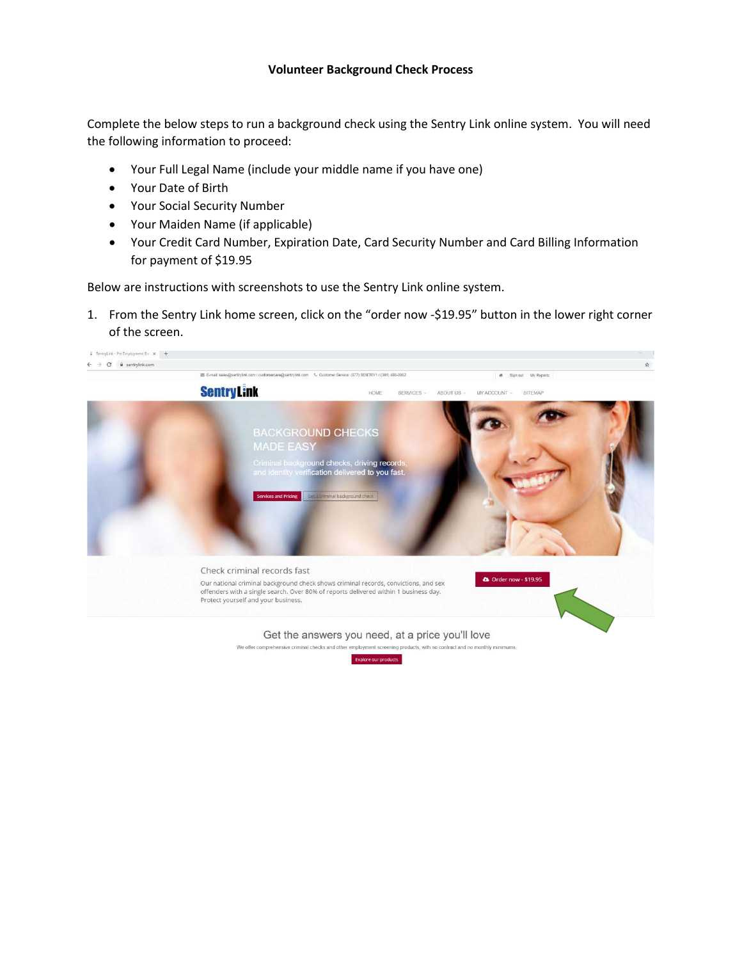## **Volunteer Background Check Process**

Complete the below steps to run a background check using the Sentry Link online system. You will need the following information to proceed:

- Your Full Legal Name (include your middle name if you have one)
- Your Date of Birth
- Your Social Security Number
- Your Maiden Name (if applicable)
- Your Credit Card Number, Expiration Date, Card Security Number and Card Billing Information for payment of \$19.95

Below are instructions with screenshots to use the Sentry Link online system.

1. From the Sentry Link home screen, click on the "order now -\$19.95" button in the lower right corner of the screen.

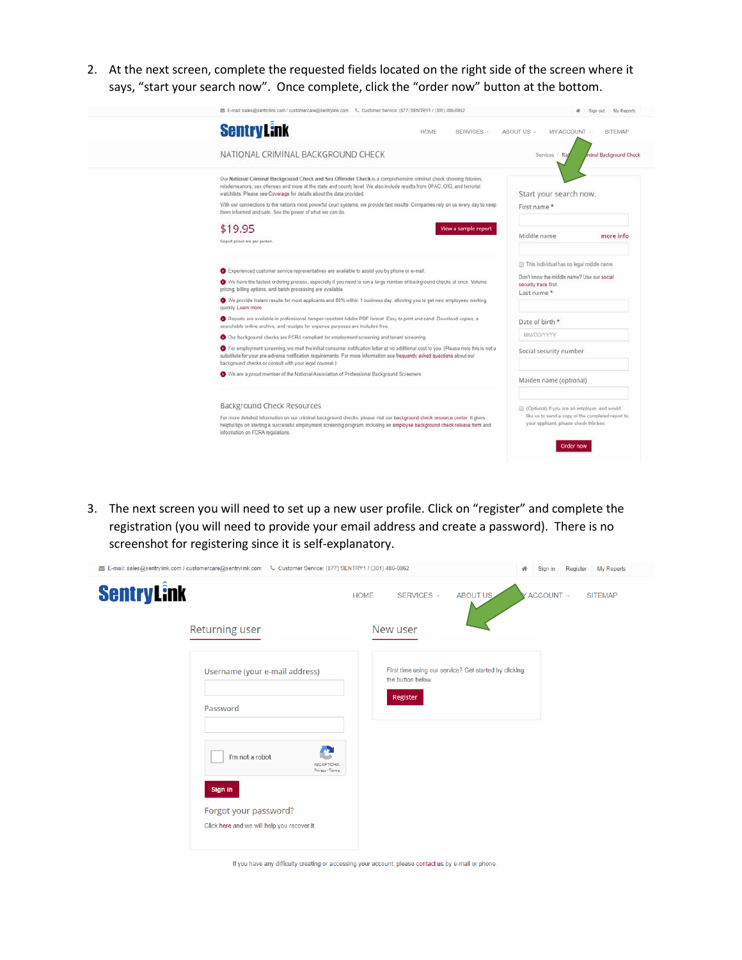2. At the next screen, complete the requested fields located on the right side of the screen where it says, "start your search now". Once complete, click the "order now" button at the bottom.

|                                                                                                                                                                                                                                                                                                                                                                                                                                                                                                                        | Sign out My Reports                                                                                                                                             |
|------------------------------------------------------------------------------------------------------------------------------------------------------------------------------------------------------------------------------------------------------------------------------------------------------------------------------------------------------------------------------------------------------------------------------------------------------------------------------------------------------------------------|-----------------------------------------------------------------------------------------------------------------------------------------------------------------|
| <b>SentryLink</b><br>HOME<br>SERVICES v                                                                                                                                                                                                                                                                                                                                                                                                                                                                                | ABOUT US v<br>MY ACCOUNT<br><b>SITEMAP</b>                                                                                                                      |
| NATIONAL CRIMINAL BACKGROUND CHECK                                                                                                                                                                                                                                                                                                                                                                                                                                                                                     | minal Background Check<br>Services Na                                                                                                                           |
| Our National Criminal Background Check and Sex Offender Check is a comprehensive criminal check showing felonies,<br>misdemeanors, sex offenses and more at the state and county level. We also include results from OFAC, OIG, and terrorist<br>watchlists. Please see Coverage for details about the data provided.<br>With our connections to the nation's most powerful court systems, we provide fast results. Companies rely on us every day to keep<br>them informed and safe. See the power of what we can do. | Start your search now.<br>First name*                                                                                                                           |
| \$19.95<br>View a sample report<br>Report prices are per person.                                                                                                                                                                                                                                                                                                                                                                                                                                                       | Middle name<br>more info                                                                                                                                        |
| Experienced customer service representatives are available to assist you by phone or e-mail.<br>We have the fastest ordering process, especially if you need to run a large number of background checks at once. Volume<br>pricing, billing options, and batch processing are available.<br>We provide instant results for most applicants and 80% within 1 business day, allowing you to get new employees working                                                                                                    | This individual has no legal middle name.<br>Don't know the middle name? Use our social<br>security trace first.<br>Last name*                                  |
| quickly. Learn more<br>Reports are available in professional, tamper-resistant Adobe PDF format. Easy to print and send. Download copies, a<br>searchable online archive, and receipts for expense purposes are included free.                                                                                                                                                                                                                                                                                         | Date of birth *<br>MM/DD/YYYY                                                                                                                                   |
| Our background checks are FCRA compliant for employment screening and tenant screening.<br>For employment screening, we mail the initial consumer notification letter at no additional cost to you. (Please note this is not a<br>substitute for your pre-adverse notification requirements. For more information see frequently asked questions about our<br>background checks or consult with your legal counsel.)                                                                                                   | Social security number                                                                                                                                          |
| We are a proud member of the National Association of Professional Background Screeners.                                                                                                                                                                                                                                                                                                                                                                                                                                | Maiden name (optional)                                                                                                                                          |
| <b>Background Check Resources</b><br>For more detailed information on our criminal background checks, please visit our background check resource center. It gives<br>helpful tips on starting a successful employment screening program, including an employee background check release form and<br>information on FCRA regulations.                                                                                                                                                                                   | (Optional) if you are an employer, and would<br>like us to send a copy of the completed report to<br>your applicant, please check this box.<br><b>Order now</b> |

3. The next screen you will need to set up a new user profile. Click on "register" and complete the registration (you will need to provide your email address and create a password). There is no screenshot for registering since it is self-explanatory.

|                    | E-mail: sales@sentrylink.com / customercare@sentrylink.com \ Customer Service: (877) SENTRY1 / (301) 486-0862                                                                    |             |                               |                                                       | 聋 | Sign in   | Register | My Reports     |  |
|--------------------|----------------------------------------------------------------------------------------------------------------------------------------------------------------------------------|-------------|-------------------------------|-------------------------------------------------------|---|-----------|----------|----------------|--|
| <b>Sentry Link</b> | Returning user                                                                                                                                                                   | <b>HOME</b> | SERVICES ~<br>New user        | ABOUT US                                              |   | ACCOUNT ~ |          | <b>SITEMAP</b> |  |
|                    | Username (your e-mail address)<br>Password<br>I'm not a robot<br>reCAPTCHA<br>Privacy - Terms<br>Sign in<br>Forgot your password?<br>Click here and we will help you recover it. |             | the button below.<br>Register | First time using our service? Get started by clicking |   |           |          |                |  |

If you have any difficulty creating or accessing your account, please contact us by e-mail or phone.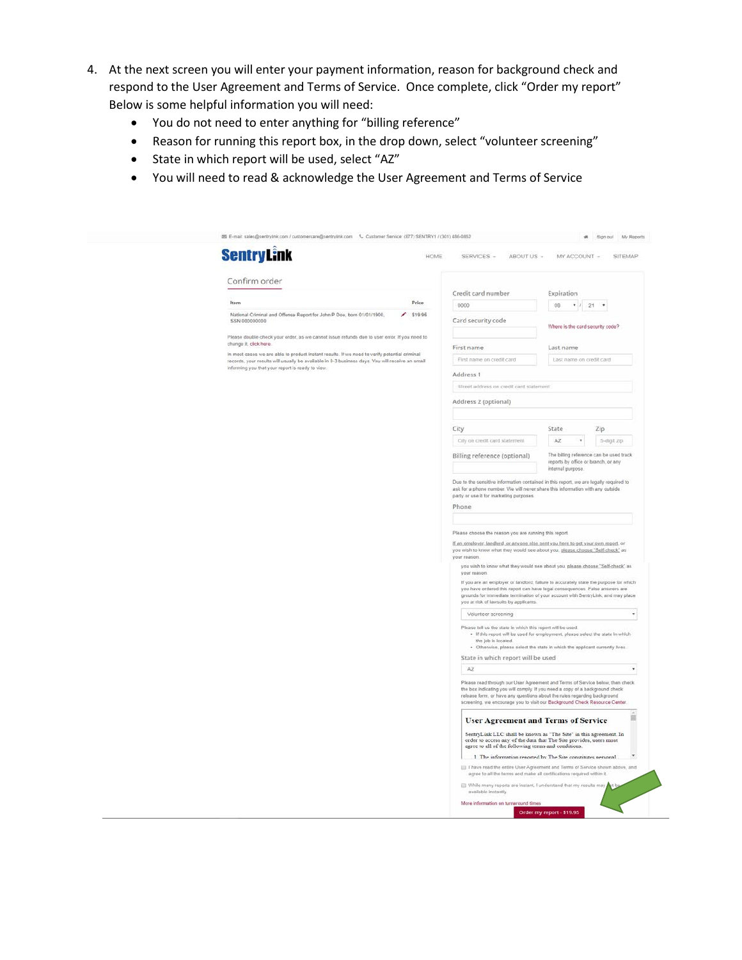- 4. At the next screen you will enter your payment information, reason for background check and respond to the User Agreement and Terms of Service. Once complete, click "Order my report" Below is some helpful information you will need:
	- You do not need to enter anything for "billing reference"
	- Reason for running this report box, in the drop down, select "volunteer screening"
	- State in which report will be used, select "AZ"
	- You will need to read & acknowledge the User Agreement and Terms of Service

| <b>SentryLink</b>                                                                                                                                                                                | HOME                         | SERVICES -<br>ABOUT US -                                                                                                                                                                                                                                                                                                                                                                                                                                                                                       |                                                       | MY ACCOUNT -<br>SITEMAP                                                        |   |  |  |
|--------------------------------------------------------------------------------------------------------------------------------------------------------------------------------------------------|------------------------------|----------------------------------------------------------------------------------------------------------------------------------------------------------------------------------------------------------------------------------------------------------------------------------------------------------------------------------------------------------------------------------------------------------------------------------------------------------------------------------------------------------------|-------------------------------------------------------|--------------------------------------------------------------------------------|---|--|--|
| Confirm order                                                                                                                                                                                    |                              |                                                                                                                                                                                                                                                                                                                                                                                                                                                                                                                |                                                       |                                                                                |   |  |  |
| Item                                                                                                                                                                                             | Price                        | Credit card number<br>0000<br>08                                                                                                                                                                                                                                                                                                                                                                                                                                                                               |                                                       | Expiration<br>$\bullet$ .<br>×                                                 |   |  |  |
| National Criminal and Offense Report for John P Doe, born 01/01/1900,<br>2.51995                                                                                                                 |                              | 21                                                                                                                                                                                                                                                                                                                                                                                                                                                                                                             |                                                       |                                                                                |   |  |  |
| <b>SSN 000000000</b><br>Please double-check your order, as we cannot issue refunds due to user error. If you need to                                                                             |                              | Card security code                                                                                                                                                                                                                                                                                                                                                                                                                                                                                             | Where is the card security code?                      |                                                                                |   |  |  |
| change it, click horo-                                                                                                                                                                           | First name                   |                                                                                                                                                                                                                                                                                                                                                                                                                                                                                                                | Last name                                             |                                                                                |   |  |  |
| In most cases we are able to product instant results. If we need to verify potential criminal<br>records, your results will usually be available in 0-3 business days. You will receive an email |                              | First name on credit card                                                                                                                                                                                                                                                                                                                                                                                                                                                                                      |                                                       | Last name on credit card                                                       |   |  |  |
| informing you that your report is ready to view.                                                                                                                                                 | Address 1                    |                                                                                                                                                                                                                                                                                                                                                                                                                                                                                                                |                                                       |                                                                                |   |  |  |
|                                                                                                                                                                                                  |                              | Street address on credit card statement                                                                                                                                                                                                                                                                                                                                                                                                                                                                        |                                                       |                                                                                |   |  |  |
|                                                                                                                                                                                                  |                              | Address 2 (optional)                                                                                                                                                                                                                                                                                                                                                                                                                                                                                           |                                                       |                                                                                |   |  |  |
|                                                                                                                                                                                                  |                              |                                                                                                                                                                                                                                                                                                                                                                                                                                                                                                                |                                                       |                                                                                |   |  |  |
|                                                                                                                                                                                                  | City                         |                                                                                                                                                                                                                                                                                                                                                                                                                                                                                                                | State                                                 | Zip                                                                            |   |  |  |
|                                                                                                                                                                                                  |                              | City on credit card statement                                                                                                                                                                                                                                                                                                                                                                                                                                                                                  | AZ.                                                   | 5-digit zip.                                                                   |   |  |  |
|                                                                                                                                                                                                  |                              | Billing reference (optional)                                                                                                                                                                                                                                                                                                                                                                                                                                                                                   | internal purpose.                                     | The billing reference can be used track<br>reports by office or branch, or any |   |  |  |
|                                                                                                                                                                                                  | Phone                        | ask for a phone number. We will never share this information with any outside<br>party or use it for marketing purposes.                                                                                                                                                                                                                                                                                                                                                                                       |                                                       |                                                                                |   |  |  |
|                                                                                                                                                                                                  |                              |                                                                                                                                                                                                                                                                                                                                                                                                                                                                                                                | Please choose the reason you are running this report. |                                                                                |   |  |  |
|                                                                                                                                                                                                  | your reason.<br>your reason. | If an employer landlord, or anyone else sent you here to get your own report, or<br>you wish to know what they would see about you, please choose "Self-check" as<br>you wish to know what they would see about you, please choose "Self-check" as<br>If you are an employer or landlord, failure to accurately state the purpose for which<br>you have ordered this report can have legal consequences. False answers are<br>grounds for immediate termination of your account with SentryLink, and may place |                                                       |                                                                                |   |  |  |
|                                                                                                                                                                                                  |                              | you at risk of lawsuits by applicants.                                                                                                                                                                                                                                                                                                                                                                                                                                                                         |                                                       |                                                                                |   |  |  |
|                                                                                                                                                                                                  |                              | Volunteer screening<br>Please tell us the state in which this report will be used.<br>. If this report will be used for employment, please select the state in which<br>the job is located.<br>. Otherwise, please select the state in which the applicant currently lives.                                                                                                                                                                                                                                    |                                                       |                                                                                | ٠ |  |  |
|                                                                                                                                                                                                  |                              | State in which report will be used                                                                                                                                                                                                                                                                                                                                                                                                                                                                             |                                                       |                                                                                |   |  |  |
|                                                                                                                                                                                                  | AZ                           |                                                                                                                                                                                                                                                                                                                                                                                                                                                                                                                |                                                       |                                                                                | ٠ |  |  |
|                                                                                                                                                                                                  |                              | Please read through our User Agreement and Terms of Service below, then check<br>the box indicating you will comply. If you need a copy of a background check<br>release form, or have any questions about the rules regarding background<br>screening, we encourage you to visit our Background Check Resource Center.                                                                                                                                                                                        |                                                       |                                                                                |   |  |  |
|                                                                                                                                                                                                  |                              | <b>User Agreement and Terms of Service</b>                                                                                                                                                                                                                                                                                                                                                                                                                                                                     |                                                       |                                                                                |   |  |  |
|                                                                                                                                                                                                  |                              | SentryLink LLC shall be known as "The Site" in this agreement. In<br>order to access any of the data that The Site provides, users must<br>agree to all of the following terms and conditions.                                                                                                                                                                                                                                                                                                                 |                                                       |                                                                                |   |  |  |
|                                                                                                                                                                                                  |                              | 1 The information renorted by The Site constitutes nersonal.                                                                                                                                                                                                                                                                                                                                                                                                                                                   |                                                       |                                                                                |   |  |  |
|                                                                                                                                                                                                  |                              | [[] I have read the entire User Agreement and Terms of Service shown above, and<br>agree to all the terms and make all certifications required within it.                                                                                                                                                                                                                                                                                                                                                      |                                                       |                                                                                |   |  |  |
|                                                                                                                                                                                                  |                              | While many reports are instant, I understand that my results may<br>available instantly.<br>More information on turnaround times                                                                                                                                                                                                                                                                                                                                                                               |                                                       |                                                                                |   |  |  |